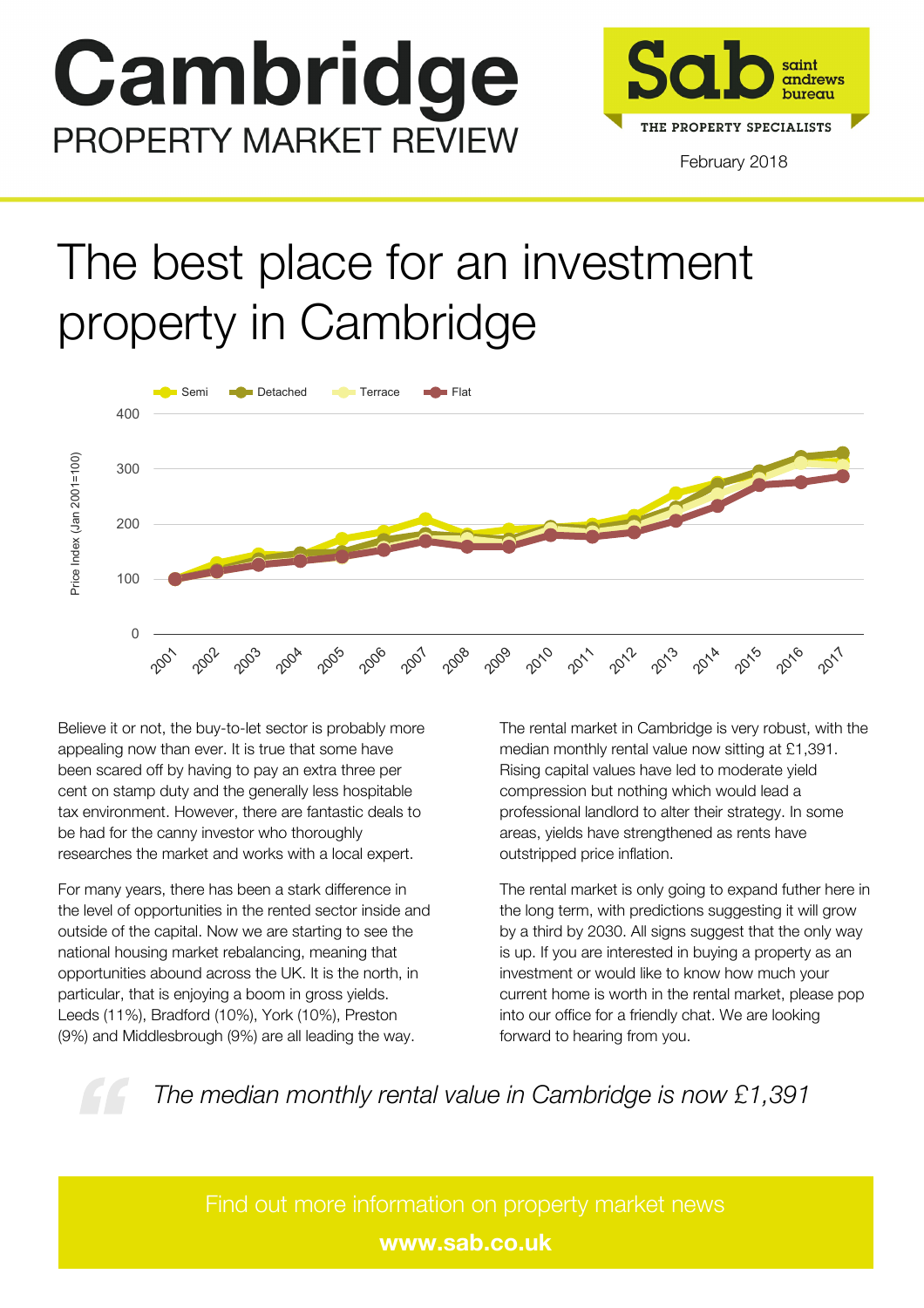# Cambridge **PROPERTY MARKET REVIEW**



### The best place for an investment property in Cambridge



Believe it or not, the buy-to-let sector is probably more appealing now than ever. It is true that some have been scared off by having to pay an extra three per cent on stamp duty and the generally less hospitable tax environment. However, there are fantastic deals to be had for the canny investor who thoroughly researches the market and works with a local expert.

For many years, there has been a stark difference in the level of opportunities in the rented sector inside and outside of the capital. Now we are starting to see the national housing market rebalancing, meaning that opportunities abound across the UK. It is the north, in particular, that is enjoying a boom in gross yields. Leeds (11%), Bradford (10%), York (10%), Preston (9%) and Middlesbrough (9%) are all leading the way.

Year and the state of the state of the state of the state of the state of the state of the state of the state o The rental market in Cambridge is very robust, with the median monthly rental value now sitting at £1,391. Rising capital values have led to moderate yield compression but nothing which would lead a professional landlord to alter their strategy. In some areas, yields have strengthened as rents have outstripped price inflation.

The rental market is only going to expand futher here in the long term, with predictions suggesting it will grow by a third by 2030. All signs suggest that the only way is up. If you are interested in buying a property as an investment or would like to know how much your current home is worth in the rental market, please pop into our office for a friendly chat. We are looking forward to hearing from you.



*The median monthly rental value in Cambridge is now £1,391*

**www.sab.co.uk**